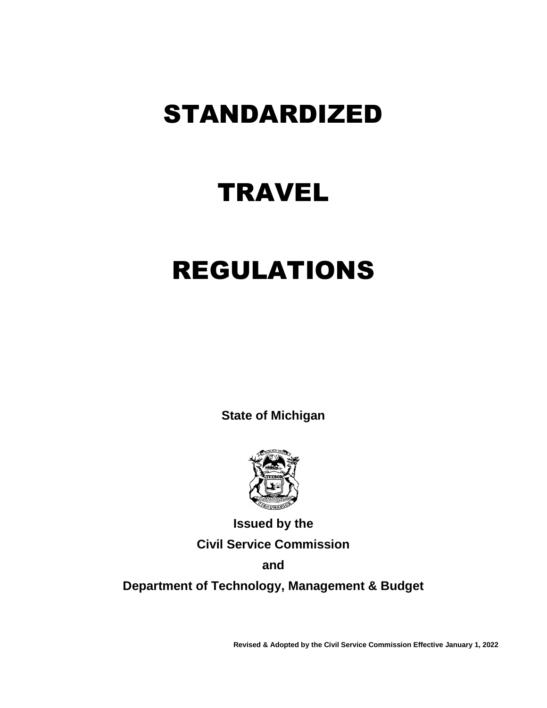# STANDARDIZED

# **TRAVEL**

# REGULATIONS

**State of Michigan**



**Issued by the Civil Service Commission**

**and**

**Department of Technology, Management & Budget**

**Revised & Adopted by the Civil Service Commission Effective January 1, 2022**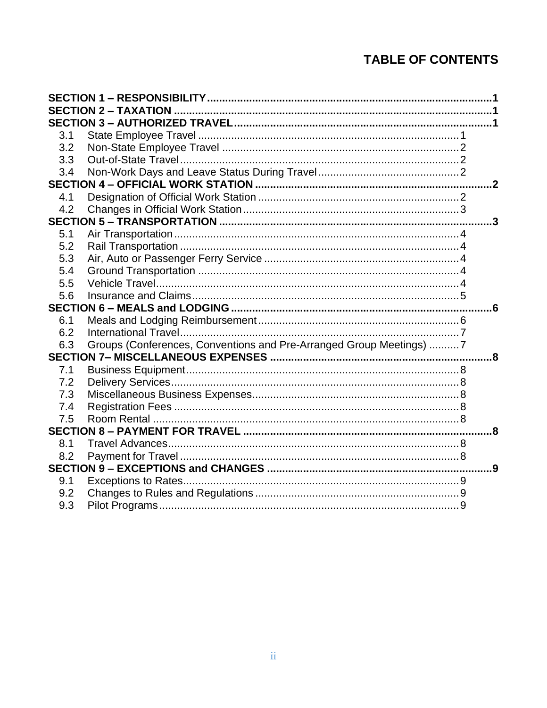# **TABLE OF CONTENTS**

| 3.1 |                                                                     |   |  |  |  |
|-----|---------------------------------------------------------------------|---|--|--|--|
| 3.2 |                                                                     |   |  |  |  |
| 3.3 |                                                                     |   |  |  |  |
| 3.4 |                                                                     |   |  |  |  |
|     |                                                                     | 2 |  |  |  |
| 4.1 |                                                                     |   |  |  |  |
| 4.2 |                                                                     |   |  |  |  |
|     |                                                                     |   |  |  |  |
| 5.1 |                                                                     |   |  |  |  |
| 5.2 |                                                                     |   |  |  |  |
| 5.3 |                                                                     |   |  |  |  |
| 5.4 |                                                                     |   |  |  |  |
| 5.5 |                                                                     |   |  |  |  |
| 5.6 |                                                                     |   |  |  |  |
|     |                                                                     |   |  |  |  |
| 6.1 |                                                                     |   |  |  |  |
| 6.2 |                                                                     |   |  |  |  |
| 6.3 | Groups (Conferences, Conventions and Pre-Arranged Group Meetings) 7 |   |  |  |  |
|     |                                                                     | 8 |  |  |  |
| 7.1 |                                                                     |   |  |  |  |
| 7.2 |                                                                     |   |  |  |  |
| 7.3 |                                                                     |   |  |  |  |
| 7.4 |                                                                     |   |  |  |  |
| 7.5 |                                                                     |   |  |  |  |
|     |                                                                     |   |  |  |  |
| 8.1 |                                                                     |   |  |  |  |
| 8.2 |                                                                     |   |  |  |  |
| .9  |                                                                     |   |  |  |  |
| 9.1 |                                                                     |   |  |  |  |
| 9.2 |                                                                     |   |  |  |  |
| 9.3 |                                                                     |   |  |  |  |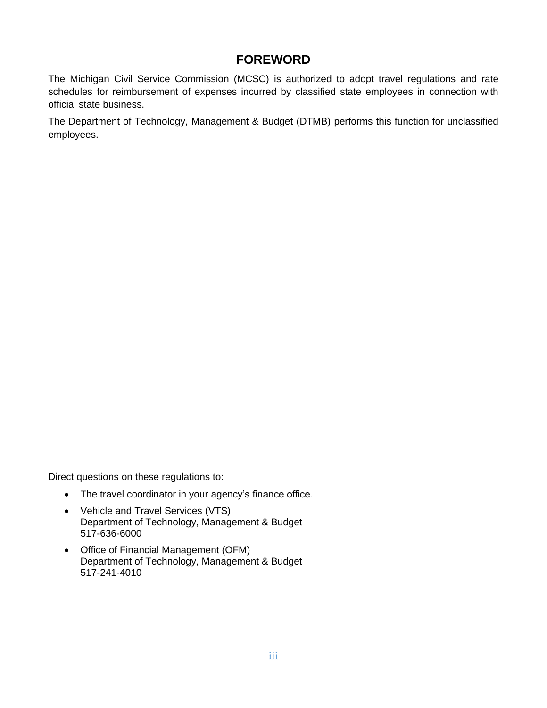# **FOREWORD**

The Michigan Civil Service Commission (MCSC) is authorized to adopt travel regulations and rate schedules for reimbursement of expenses incurred by classified state employees in connection with official state business.

The Department of Technology, Management & Budget (DTMB) performs this function for unclassified employees.

Direct questions on these regulations to:

- The travel coordinator in your agency's finance office.
- Vehicle and Travel Services (VTS) Department of Technology, Management & Budget 517-636-6000
- Office of Financial Management (OFM) Department of Technology, Management & Budget 517-241-4010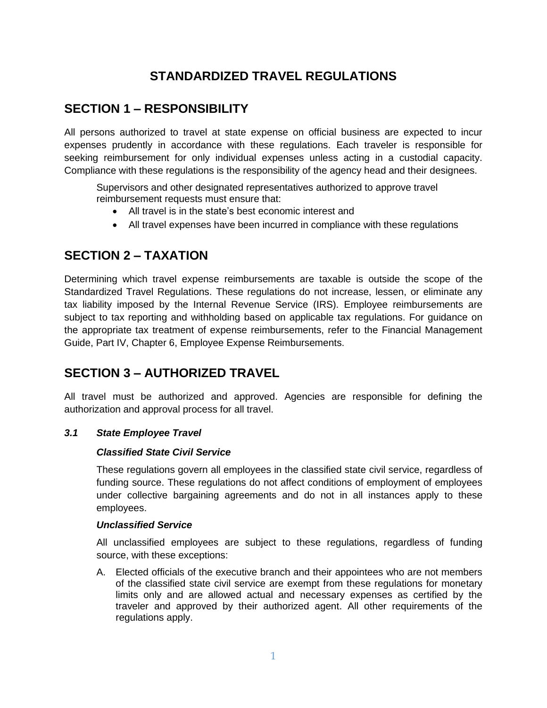# **STANDARDIZED TRAVEL REGULATIONS**

# <span id="page-3-0"></span>**SECTION 1 – RESPONSIBILITY**

All persons authorized to travel at state expense on official business are expected to incur expenses prudently in accordance with these regulations. Each traveler is responsible for seeking reimbursement for only individual expenses unless acting in a custodial capacity. Compliance with these regulations is the responsibility of the agency head and their designees.

Supervisors and other designated representatives authorized to approve travel reimbursement requests must ensure that:

- All travel is in the state's best economic interest and
- All travel expenses have been incurred in compliance with these regulations

# <span id="page-3-1"></span>**SECTION 2 – TAXATION**

Determining which travel expense reimbursements are taxable is outside the scope of the Standardized Travel Regulations. These regulations do not increase, lessen, or eliminate any tax liability imposed by the Internal Revenue Service (IRS). Employee reimbursements are subject to tax reporting and withholding based on applicable tax regulations. For guidance on the appropriate tax treatment of expense reimbursements, refer to the Financial Management Guide, Part IV, Chapter 6, Employee Expense Reimbursements.

# <span id="page-3-2"></span>**SECTION 3 – AUTHORIZED TRAVEL**

All travel must be authorized and approved. Agencies are responsible for defining the authorization and approval process for all travel.

#### <span id="page-3-3"></span>*3.1 State Employee Travel*

#### *Classified State Civil Service*

These regulations govern all employees in the classified state civil service, regardless of funding source. These regulations do not affect conditions of employment of employees under collective bargaining agreements and do not in all instances apply to these employees.

#### *Unclassified Service*

All unclassified employees are subject to these regulations, regardless of funding source, with these exceptions:

A. Elected officials of the executive branch and their appointees who are not members of the classified state civil service are exempt from these regulations for monetary limits only and are allowed actual and necessary expenses as certified by the traveler and approved by their authorized agent. All other requirements of the regulations apply.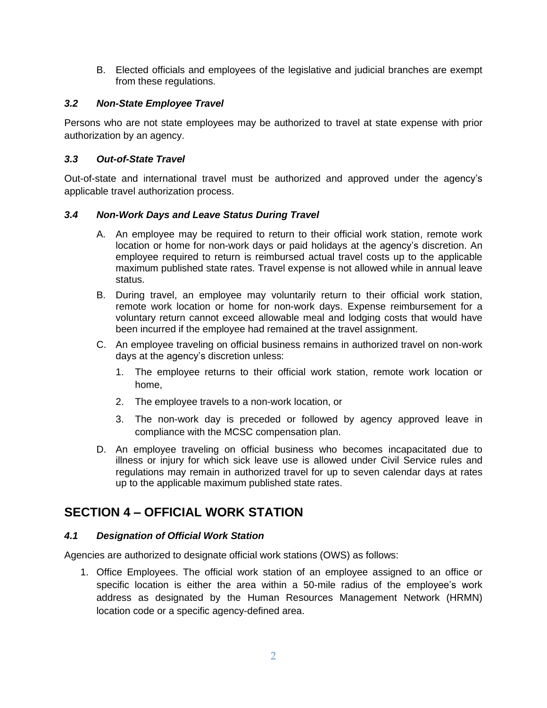B. Elected officials and employees of the legislative and judicial branches are exempt from these regulations.

#### <span id="page-4-0"></span>*3.2 Non-State Employee Travel*

Persons who are not state employees may be authorized to travel at state expense with prior authorization by an agency.

#### <span id="page-4-1"></span>*3.3 Out-of-State Travel*

Out-of-state and international travel must be authorized and approved under the agency's applicable travel authorization process.

#### <span id="page-4-2"></span>*3.4 Non-Work Days and Leave Status During Travel*

- A. An employee may be required to return to their official work station, remote work location or home for non-work days or paid holidays at the agency's discretion. An employee required to return is reimbursed actual travel costs up to the applicable maximum published state rates. Travel expense is not allowed while in annual leave status.
- B. During travel, an employee may voluntarily return to their official work station, remote work location or home for non-work days. Expense reimbursement for a voluntary return cannot exceed allowable meal and lodging costs that would have been incurred if the employee had remained at the travel assignment.
- C. An employee traveling on official business remains in authorized travel on non-work days at the agency's discretion unless:
	- 1. The employee returns to their official work station, remote work location or home,
	- 2. The employee travels to a non-work location, or
	- 3. The non-work day is preceded or followed by agency approved leave in compliance with the MCSC compensation plan.
- D. An employee traveling on official business who becomes incapacitated due to illness or injury for which sick leave use is allowed under Civil Service rules and regulations may remain in authorized travel for up to seven calendar days at rates up to the applicable maximum published state rates.

# <span id="page-4-3"></span>**SECTION 4 – OFFICIAL WORK STATION**

## <span id="page-4-4"></span>*4.1 Designation of Official Work Station*

Agencies are authorized to designate official work stations (OWS) as follows:

1. Office Employees. The official work station of an employee assigned to an office or specific location is either the area within a 50-mile radius of the employee's work address as designated by the Human Resources Management Network (HRMN) location code or a specific agency-defined area.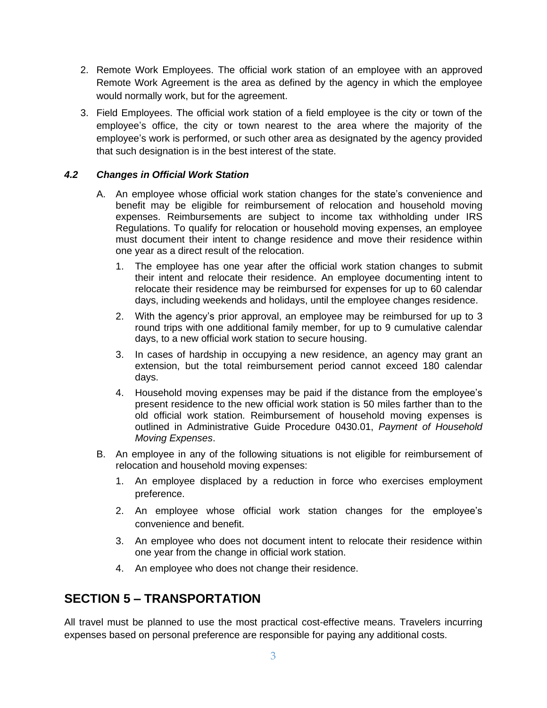- 2. Remote Work Employees. The official work station of an employee with an approved Remote Work Agreement is the area as defined by the agency in which the employee would normally work, but for the agreement.
- 3. Field Employees. The official work station of a field employee is the city or town of the employee's office, the city or town nearest to the area where the majority of the employee's work is performed, or such other area as designated by the agency provided that such designation is in the best interest of the state.

#### <span id="page-5-0"></span>*4.2 Changes in Official Work Station*

- A. An employee whose official work station changes for the state's convenience and benefit may be eligible for reimbursement of relocation and household moving expenses. Reimbursements are subject to income tax withholding under IRS Regulations. To qualify for relocation or household moving expenses, an employee must document their intent to change residence and move their residence within one year as a direct result of the relocation.
	- 1. The employee has one year after the official work station changes to submit their intent and relocate their residence. An employee documenting intent to relocate their residence may be reimbursed for expenses for up to 60 calendar days, including weekends and holidays, until the employee changes residence.
	- 2. With the agency's prior approval, an employee may be reimbursed for up to 3 round trips with one additional family member, for up to 9 cumulative calendar days, to a new official work station to secure housing.
	- 3. In cases of hardship in occupying a new residence, an agency may grant an extension, but the total reimbursement period cannot exceed 180 calendar days.
	- 4. Household moving expenses may be paid if the distance from the employee's present residence to the new official work station is 50 miles farther than to the old official work station. Reimbursement of household moving expenses is outlined in Administrative Guide Procedure 0430.01, *Payment of Household Moving Expenses*.
- B. An employee in any of the following situations is not eligible for reimbursement of relocation and household moving expenses:
	- 1. An employee displaced by a reduction in force who exercises employment preference.
	- 2. An employee whose official work station changes for the employee's convenience and benefit.
	- 3. An employee who does not document intent to relocate their residence within one year from the change in official work station.
	- 4. An employee who does not change their residence.

# <span id="page-5-1"></span>**SECTION 5 – TRANSPORTATION**

All travel must be planned to use the most practical cost-effective means. Travelers incurring expenses based on personal preference are responsible for paying any additional costs.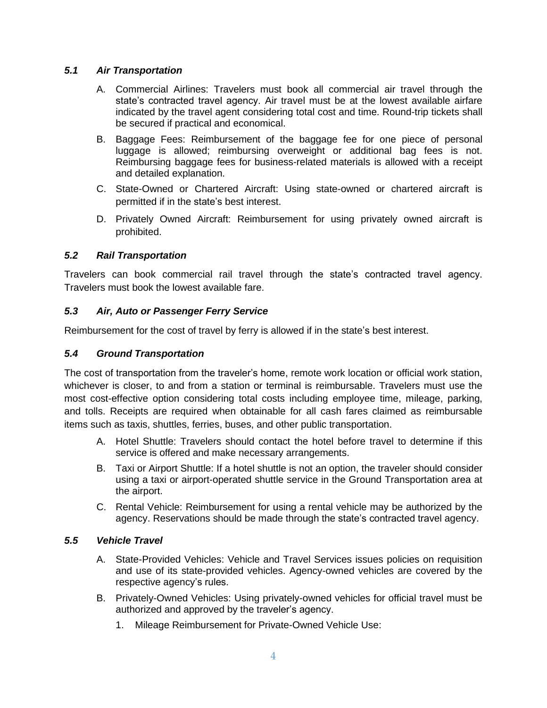#### <span id="page-6-0"></span>*5.1 Air Transportation*

- A. Commercial Airlines: Travelers must book all commercial air travel through the state's contracted travel agency. Air travel must be at the lowest available airfare indicated by the travel agent considering total cost and time. Round-trip tickets shall be secured if practical and economical.
- B. Baggage Fees: Reimbursement of the baggage fee for one piece of personal luggage is allowed; reimbursing overweight or additional bag fees is not. Reimbursing baggage fees for business-related materials is allowed with a receipt and detailed explanation.
- C. State-Owned or Chartered Aircraft: Using state-owned or chartered aircraft is permitted if in the state's best interest.
- D. Privately Owned Aircraft: Reimbursement for using privately owned aircraft is prohibited.

#### <span id="page-6-1"></span>*5.2 Rail Transportation*

Travelers can book commercial rail travel through the state's contracted travel agency. Travelers must book the lowest available fare.

#### <span id="page-6-2"></span>*5.3 Air, Auto or Passenger Ferry Service*

Reimbursement for the cost of travel by ferry is allowed if in the state's best interest.

#### <span id="page-6-3"></span>*5.4 Ground Transportation*

The cost of transportation from the traveler's home, remote work location or official work station, whichever is closer, to and from a station or terminal is reimbursable. Travelers must use the most cost-effective option considering total costs including employee time, mileage, parking, and tolls. Receipts are required when obtainable for all cash fares claimed as reimbursable items such as taxis, shuttles, ferries, buses, and other public transportation.

- A. Hotel Shuttle: Travelers should contact the hotel before travel to determine if this service is offered and make necessary arrangements.
- B. Taxi or Airport Shuttle: If a hotel shuttle is not an option, the traveler should consider using a taxi or airport-operated shuttle service in the Ground Transportation area at the airport.
- C. Rental Vehicle: Reimbursement for using a rental vehicle may be authorized by the agency. Reservations should be made through the state's contracted travel agency.

#### <span id="page-6-4"></span>*5.5 Vehicle Travel*

- A. State-Provided Vehicles: Vehicle and Travel Services issues policies on requisition and use of its state-provided vehicles. Agency-owned vehicles are covered by the respective agency's rules.
- B. Privately-Owned Vehicles: Using privately-owned vehicles for official travel must be authorized and approved by the traveler's agency.
	- 1. Mileage Reimbursement for Private-Owned Vehicle Use: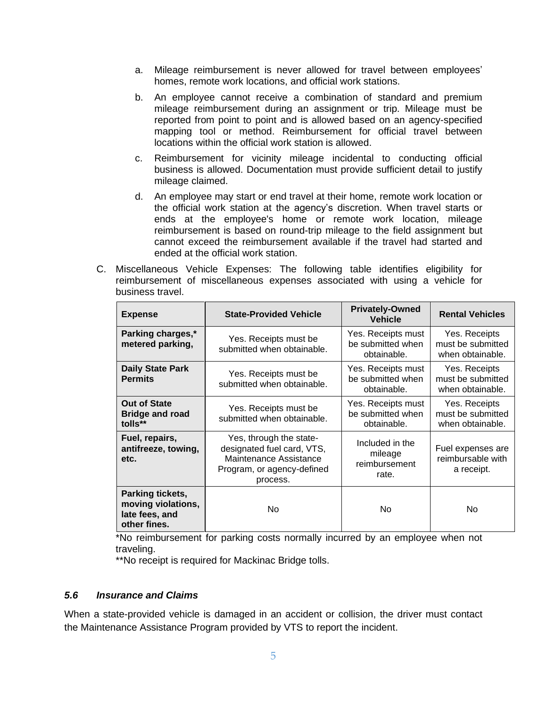- a. Mileage reimbursement is never allowed for travel between employees' homes, remote work locations, and official work stations.
- b. An employee cannot receive a combination of standard and premium mileage reimbursement during an assignment or trip. Mileage must be reported from point to point and is allowed based on an agency-specified mapping tool or method. Reimbursement for official travel between locations within the official work station is allowed.
- c. Reimbursement for vicinity mileage incidental to conducting official business is allowed. Documentation must provide sufficient detail to justify mileage claimed.
- d. An employee may start or end travel at their home, remote work location or the official work station at the agency's discretion. When travel starts or ends at the employee's home or remote work location, mileage reimbursement is based on round-trip mileage to the field assignment but cannot exceed the reimbursement available if the travel had started and ended at the official work station.
- C. Miscellaneous Vehicle Expenses: The following table identifies eligibility for reimbursement of miscellaneous expenses associated with using a vehicle for business travel.

| <b>Expense</b>                                                           | <b>State-Provided Vehicle</b>                                                                                             | <b>Privately-Owned</b><br><b>Vehicle</b>               | <b>Rental Vehicles</b>                                 |
|--------------------------------------------------------------------------|---------------------------------------------------------------------------------------------------------------------------|--------------------------------------------------------|--------------------------------------------------------|
| Parking charges,*<br>metered parking,                                    | Yes. Receipts must be<br>submitted when obtainable.                                                                       | Yes. Receipts must<br>be submitted when<br>obtainable. | Yes. Receipts<br>must be submitted<br>when obtainable. |
| <b>Daily State Park</b><br><b>Permits</b>                                | Yes. Receipts must be<br>submitted when obtainable.                                                                       | Yes. Receipts must<br>be submitted when<br>obtainable. | Yes. Receipts<br>must be submitted<br>when obtainable. |
| <b>Out of State</b><br><b>Bridge and road</b><br>tolls**                 | Yes. Receipts must be<br>submitted when obtainable.                                                                       | Yes. Receipts must<br>be submitted when<br>obtainable. | Yes. Receipts<br>must be submitted<br>when obtainable. |
| Fuel, repairs,<br>antifreeze, towing,<br>etc.                            | Yes, through the state-<br>designated fuel card, VTS,<br>Maintenance Assistance<br>Program, or agency-defined<br>process. | Included in the<br>mileage<br>reimbursement<br>rate.   | Fuel expenses are<br>reimbursable with<br>a receipt.   |
| Parking tickets,<br>moving violations,<br>late fees, and<br>other fines. | No.                                                                                                                       | No                                                     | No                                                     |

\*No reimbursement for parking costs normally incurred by an employee when not traveling.

\*\*No receipt is required for Mackinac Bridge tolls.

#### <span id="page-7-0"></span>*5.6 Insurance and Claims*

When a state-provided vehicle is damaged in an accident or collision, the driver must contact the Maintenance Assistance Program provided by VTS to report the incident.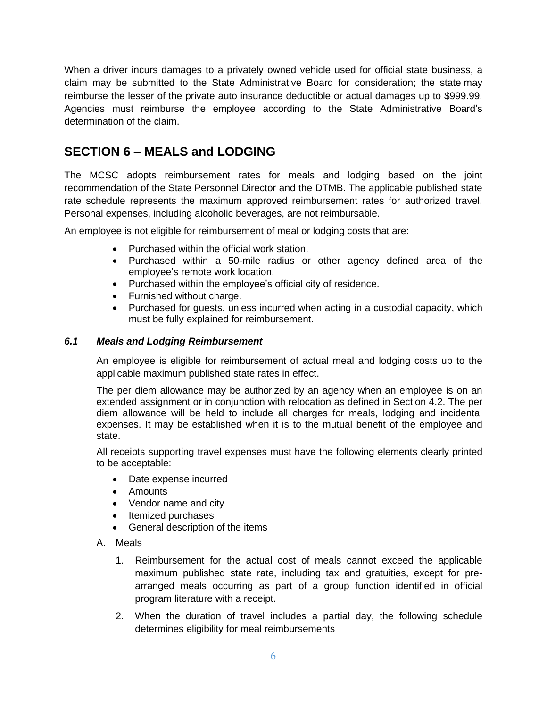When a driver incurs damages to a privately owned vehicle used for official state business, a claim may be submitted to the State Administrative Board for consideration; the state may reimburse the lesser of the private auto insurance deductible or actual damages up to \$999.99. Agencies must reimburse the employee according to the State Administrative Board's determination of the claim.

# <span id="page-8-0"></span>**SECTION 6 – MEALS and LODGING**

The MCSC adopts reimbursement rates for meals and lodging based on the joint recommendation of the State Personnel Director and the DTMB. The applicable published state rate schedule represents the maximum approved reimbursement rates for authorized travel. Personal expenses, including alcoholic beverages, are not reimbursable.

An employee is not eligible for reimbursement of meal or lodging costs that are:

- Purchased within the official work station.
- Purchased within a 50-mile radius or other agency defined area of the employee's remote work location.
- Purchased within the employee's official city of residence.
- Furnished without charge.
- Purchased for guests, unless incurred when acting in a custodial capacity, which must be fully explained for reimbursement.

#### <span id="page-8-1"></span>*6.1 Meals and Lodging Reimbursement*

An employee is eligible for reimbursement of actual meal and lodging costs up to the applicable maximum published state rates in effect.

The per diem allowance may be authorized by an agency when an employee is on an extended assignment or in conjunction with relocation as defined in Section 4.2. The per diem allowance will be held to include all charges for meals, lodging and incidental expenses. It may be established when it is to the mutual benefit of the employee and state.

All receipts supporting travel expenses must have the following elements clearly printed to be acceptable:

- Date expense incurred
- Amounts
- Vendor name and city
- Itemized purchases
- General description of the items
- A. Meals
	- 1. Reimbursement for the actual cost of meals cannot exceed the applicable maximum published state rate, including tax and gratuities, except for prearranged meals occurring as part of a group function identified in official program literature with a receipt.
	- 2. When the duration of travel includes a partial day, the following schedule determines eligibility for meal reimbursements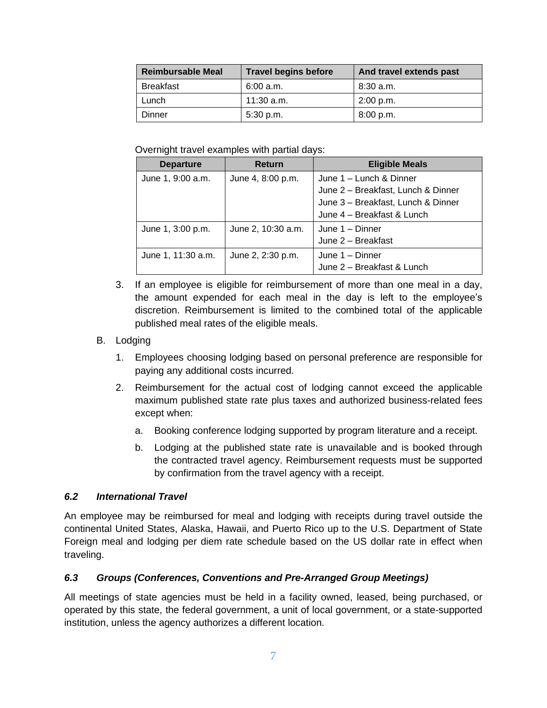| <b>Reimbursable Meal</b> | <b>Travel begins before</b> | And travel extends past |
|--------------------------|-----------------------------|-------------------------|
| <b>Breakfast</b>         | 6:00 a.m.                   | 8:30 a.m.               |
| Lunch                    | 11:30 a.m.                  | 2:00 p.m.               |
| Dinner                   | 5:30 p.m.                   | 8:00 p.m.               |

Overnight travel examples with partial days:

| <b>Departure</b>   | <b>Return</b>      | <b>Eligible Meals</b>              |
|--------------------|--------------------|------------------------------------|
| June 1, 9:00 a.m.  | June 4, 8:00 p.m.  | June 1 - Lunch & Dinner            |
|                    |                    | June 2 - Breakfast, Lunch & Dinner |
|                    |                    | June 3 - Breakfast, Lunch & Dinner |
|                    |                    | June 4 - Breakfast & Lunch         |
| June 1, 3:00 p.m.  | June 2, 10:30 a.m. | June 1 - Dinner                    |
|                    |                    | June 2 - Breakfast                 |
| June 1, 11:30 a.m. | June 2, 2:30 p.m.  | June 1 - Dinner                    |
|                    |                    | June 2 - Breakfast & Lunch         |

3. If an employee is eligible for reimbursement of more than one meal in a day, the amount expended for each meal in the day is left to the employee's discretion. Reimbursement is limited to the combined total of the applicable published meal rates of the eligible meals.

## B. Lodging

- 1. Employees choosing lodging based on personal preference are responsible for paying any additional costs incurred.
- 2. Reimbursement for the actual cost of lodging cannot exceed the applicable maximum published state rate plus taxes and authorized business-related fees except when:
	- a. Booking conference lodging supported by program literature and a receipt.
	- b. Lodging at the published state rate is unavailable and is booked through the contracted travel agency. Reimbursement requests must be supported by confirmation from the travel agency with a receipt.

## <span id="page-9-0"></span>*6.2 International Travel*

An employee may be reimbursed for meal and lodging with receipts during travel outside the continental United States, Alaska, Hawaii, and Puerto Rico up to the U.S. Department of State Foreign meal and lodging per diem rate schedule based on the US dollar rate in effect when traveling.

## <span id="page-9-1"></span>*6.3 Groups (Conferences, Conventions and Pre-Arranged Group Meetings)*

All meetings of state agencies must be held in a facility owned, leased, being purchased, or operated by this state, the federal government, a unit of local government, or a state-supported institution, unless the agency authorizes a different location.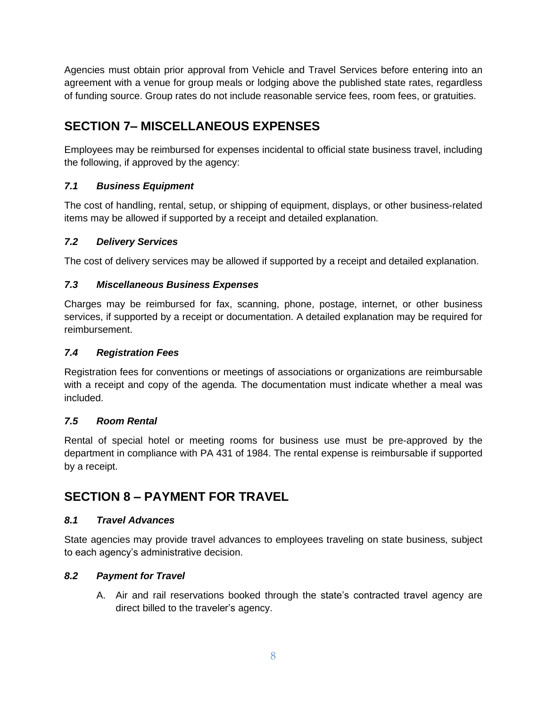Agencies must obtain prior approval from Vehicle and Travel Services before entering into an agreement with a venue for group meals or lodging above the published state rates, regardless of funding source. Group rates do not include reasonable service fees, room fees, or gratuities.

# <span id="page-10-0"></span>**SECTION 7– MISCELLANEOUS EXPENSES**

Employees may be reimbursed for expenses incidental to official state business travel, including the following, if approved by the agency:

## <span id="page-10-1"></span>*7.1 Business Equipment*

The cost of handling, rental, setup, or shipping of equipment, displays, or other business-related items may be allowed if supported by a receipt and detailed explanation.

## <span id="page-10-2"></span>*7.2 Delivery Services*

The cost of delivery services may be allowed if supported by a receipt and detailed explanation.

## <span id="page-10-3"></span>*7.3 Miscellaneous Business Expenses*

Charges may be reimbursed for fax, scanning, phone, postage, internet, or other business services, if supported by a receipt or documentation. A detailed explanation may be required for reimbursement.

## <span id="page-10-4"></span>*7.4 Registration Fees*

Registration fees for conventions or meetings of associations or organizations are reimbursable with a receipt and copy of the agenda. The documentation must indicate whether a meal was included.

## <span id="page-10-5"></span>*7.5 Room Rental*

Rental of special hotel or meeting rooms for business use must be pre-approved by the department in compliance with PA 431 of 1984. The rental expense is reimbursable if supported by a receipt.

# <span id="page-10-6"></span>**SECTION 8 – PAYMENT FOR TRAVEL**

## <span id="page-10-7"></span>*8.1 Travel Advances*

State agencies may provide travel advances to employees traveling on state business, subject to each agency's administrative decision.

## <span id="page-10-8"></span>*8.2 Payment for Travel*

A. Air and rail reservations booked through the state's contracted travel agency are direct billed to the traveler's agency.